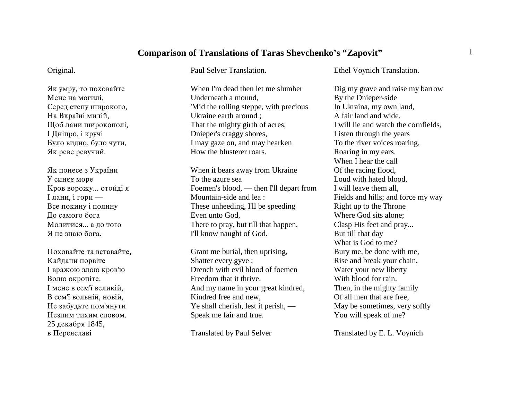## **Comparison of Translations of Taras Shevchenko's "Zapovit"** <sup>1</sup>

## Original.

Як умру, то поховайте Мене на могилі, Серед степу широкого, На Вкраїні милій, Щоб лани широкополі, I Дніпро, і кручі Було видно, було чути, Як реве ревучий.

Як понесе з України У синєє море Кров ворожу... отойді я I лани, і гори — Все покину і полину До самого бога Молитися... а до того Я не знаю бога.

Поховайте та вставайте, Кайдани порвіте I вражою злою кров'ю Волю окропіте. I мене в сем'ї великій, В сем'ї вольній, новій, Не забудьте пом'янути Незлим тихим словом. 25 декабря 1845, в Переяславі

Paul Selver Translation.

When I'm dead then let me slumberUnderneath a mound, 'Mid the rolling steppe, with precious Ukraine earth around ; That the mighty girth of acres, Dnieper's craggy shores, I may gaze on, and may hearken How the blusterer roars.

When it bears away from Ukraine To the azure seaFoemen's blood, — then I'll depart from Mountain-side and lea :These unheeding, I'll be speeding Even unto God, There to pray, but till that happen, I'll know naught of God.

Grant me burial, then uprising, Shatter every gyve ; Drench with evil blood of foemenFreedom that it thrive.And my name in your great kindred, Kindred free and new, Ye shall cherish, lest it perish, — Speak me fair and true.

Translated by Paul Selver

Ethel Voynich Translation.

Dig my grave and raise my barrow By the Dnieper-side In Ukraina, my own land, A fair land and wide.I will lie and watch the cornfields, Listen through the years To the river voices roaring, Roaring in my ears. When I hear the callOf the racing flood, Loud with hated blood, I will leave them all, Fields and hills; and force my way Right up to the Throne Where God sits alone; Clasp His feet and pray... But till that day What is God to me?Bury me, be done with me, Rise and break your chain, Water your new liberty With blood for rain.Then, in the mighty family Of all men that are free, May be sometimes, very softly You will speak of me?

Translated by E. L. Voynich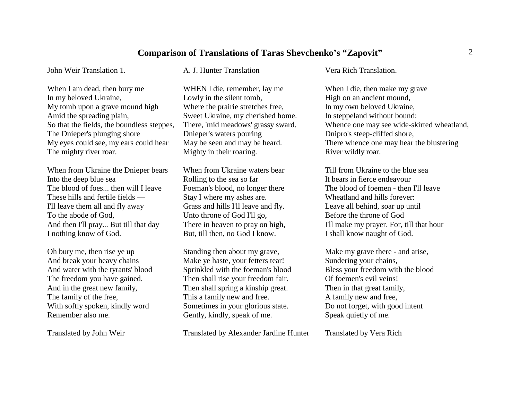## **Comparison of Translations of Taras Shevchenko's "Zapovit"** <sup>2</sup>

John Weir Translation 1.

When I am dead, then bury me In my beloved Ukraine, My tomb upon a grave mound high Amid the spreading plain, So that the fields, the boundless steppes, The Dnieper's plunging shore My eyes could see, my ears could hear The mighty river roar.

When from Ukraine the Dnieper bears Into the deep blue sea The blood of foes... then will I leaveThese hills and fertile fields —I'll leave them all and fly away To the abode of God, And then I'll pray... But till that day I nothing know of God.

Oh bury me, then rise ye up And break your heavy chains And water with the tyrants' blood The freedom you have gained. And in the great new family, The family of the free, With softly spoken, kindly word Remember also me.

Translated by John Weir

A. J. Hunter Translation

WHEN I die, remember, lay me Lowly in the silent tomb, Where the prairie stretches free, Sweet Ukraine, my cherished home. There, 'mid meadows' grassy sward. Dnieper's waters pouring May be seen and may be heard. Mighty in their roaring.

When from Ukraine waters bearRolling to the sea so far Foeman's blood, no longer there Stay I where my ashes are. Grass and hills I'll leave and fly. Unto throne of God I'll go, There in heaven to pray on high, But, till then, no God I know.

Standing then about my grave, Make ye haste, your fetters tear! Sprinkled with the foeman's blood Then shall rise your freedom fair. Then shall spring a kinship great. This a family new and free. Sometimes in your glorious state. Gently, kindly, speak of me.

Translated by Alexander Jardine Hunter

Vera Rich Translation.

When I die, then make my grave High on an ancient mound, In my own beloved Ukraine, In steppeland without bound: Whence one may see wide-skirted wheatland, Dnipro's steep-cliffed shore, There whence one may hear the blustering River wildly roar.

Till from Ukraine to the blue seaIt bears in fierce endeavourThe blood of foemen - then I'll leaveWheatland and hills forever: Leave all behind, soar up until Before the throne of God I'll make my prayer. For, till that hour I shall know naught of God.

Make my grave there - and arise, Sundering your chains, Bless your freedom with the blood Of foemen's evil veins!Then in that great family, A family new and free, Do not forget, with good intent Speak quietly of me.

Translated by Vera Rich